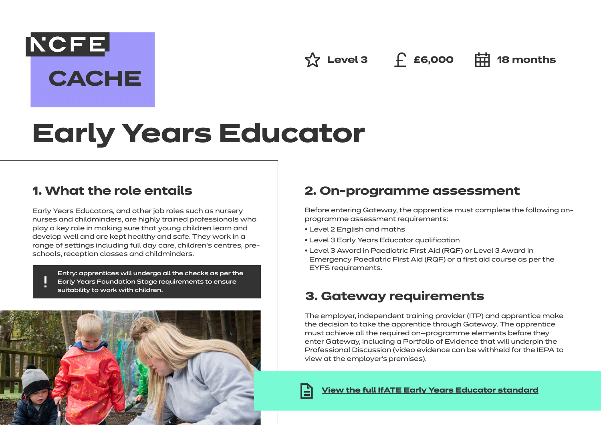$\hat{X}$  Level 3 f **£6,000 中** 18 months

# **Early Years Educator**

## **1. What the role entails**

**NCFE** 

**CACHE** 

Early Years Educators, and other job roles such as nursery nurses and childminders, are highly trained professionals who play a key role in making sure that young children learn and develop well and are kept healthy and safe. They work in a range of settings including full day care, children's centres, preschools, reception classes and childminders.

Entry: apprentices will undergo all the checks as per the Early Years Foundation Stage requirements to ensure suitability to work with children.



# **2. On-programme assessment**

Before entering Gateway, the apprentice must complete the following onprogramme assessment requirements:

- Level 2 English and maths
- Level 3 Early Years Educator qualification
- Level 3 Award in Paediatric First Aid (RQF) or Level 3 Award in Emergency Paediatric First Aid (RQF) or a first aid course as per the EYFS requirements.

# **3. Gateway requirements**

The employer, independent training provider (ITP) and apprentice make the decision to take the apprentice through Gateway. The apprentice must achieve all the required on—programme elements before they enter Gateway, including a Portfolio of Evidence that will underpin the Professional Discussion (video evidence can be withheld for the IEPA to view at the employer's premises).